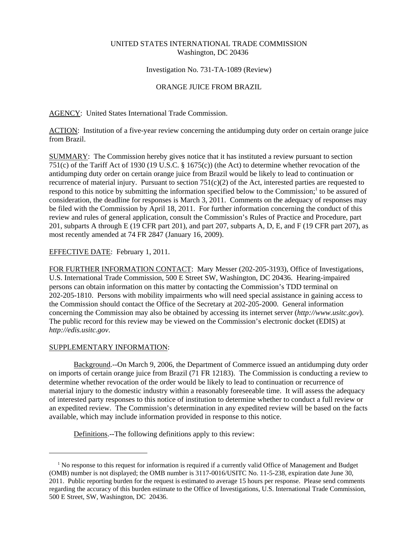# UNITED STATES INTERNATIONAL TRADE COMMISSION Washington, DC 20436

# Investigation No. 731-TA-1089 (Review)

# ORANGE JUICE FROM BRAZIL

AGENCY: United States International Trade Commission.

ACTION: Institution of a five-year review concerning the antidumping duty order on certain orange juice from Brazil.

SUMMARY: The Commission hereby gives notice that it has instituted a review pursuant to section 751(c) of the Tariff Act of 1930 (19 U.S.C. § 1675(c)) (the Act) to determine whether revocation of the antidumping duty order on certain orange juice from Brazil would be likely to lead to continuation or recurrence of material injury. Pursuant to section  $751(c)(2)$  of the Act, interested parties are requested to respond to this notice by submitting the information specified below to the Commission;<sup>1</sup> to be assured of consideration, the deadline for responses is March 3, 2011. Comments on the adequacy of responses may be filed with the Commission by April 18, 2011. For further information concerning the conduct of this review and rules of general application, consult the Commission's Rules of Practice and Procedure, part 201, subparts A through E (19 CFR part 201), and part 207, subparts A, D, E, and F (19 CFR part 207), as most recently amended at 74 FR 2847 (January 16, 2009).

### EFFECTIVE DATE: February 1, 2011.

FOR FURTHER INFORMATION CONTACT: Mary Messer (202-205-3193), Office of Investigations, U.S. International Trade Commission, 500 E Street SW, Washington, DC 20436. Hearing-impaired persons can obtain information on this matter by contacting the Commission's TDD terminal on 202-205-1810. Persons with mobility impairments who will need special assistance in gaining access to the Commission should contact the Office of the Secretary at 202-205-2000. General information concerning the Commission may also be obtained by accessing its internet server (*http://www.usitc.gov*). The public record for this review may be viewed on the Commission's electronic docket (EDIS) at *http://edis.usitc.gov*.

#### SUPPLEMENTARY INFORMATION:

Background.--On March 9, 2006, the Department of Commerce issued an antidumping duty order on imports of certain orange juice from Brazil (71 FR 12183). The Commission is conducting a review to determine whether revocation of the order would be likely to lead to continuation or recurrence of material injury to the domestic industry within a reasonably foreseeable time. It will assess the adequacy of interested party responses to this notice of institution to determine whether to conduct a full review or an expedited review. The Commission's determination in any expedited review will be based on the facts available, which may include information provided in response to this notice.

Definitions.--The following definitions apply to this review:

<sup>&</sup>lt;sup>1</sup> No response to this request for information is required if a currently valid Office of Management and Budget (OMB) number is not displayed; the OMB number is 3117-0016/USITC No. 11-5-238, expiration date June 30, 2011. Public reporting burden for the request is estimated to average 15 hours per response. Please send comments regarding the accuracy of this burden estimate to the Office of Investigations, U.S. International Trade Commission, 500 E Street, SW, Washington, DC 20436.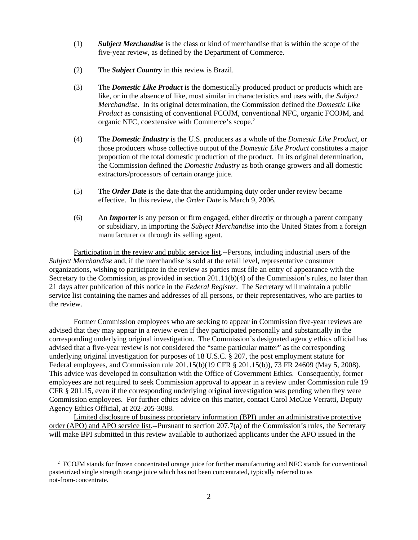- (1) *Subject Merchandise* is the class or kind of merchandise that is within the scope of the five-year review, as defined by the Department of Commerce.
- (2) The *Subject Country* in this review is Brazil.
- (3) The *Domestic Like Product* is the domestically produced product or products which are like, or in the absence of like, most similar in characteristics and uses with, the *Subject Merchandise*. In its original determination, the Commission defined the *Domestic Like Product* as consisting of conventional FCOJM, conventional NFC, organic FCOJM, and organic NFC, coextensive with Commerce's scope.<sup>2</sup>
- (4) The *Domestic Industry* is the U.S. producers as a whole of the *Domestic Like Product*, or those producers whose collective output of the *Domestic Like Product* constitutes a major proportion of the total domestic production of the product. In its original determination, the Commission defined the *Domestic Industry* as both orange growers and all domestic extractors/processors of certain orange juice.
- (5) The *Order Date* is the date that the antidumping duty order under review became effective. In this review, the *Order Date* is March 9, 2006.
- (6) An *Importer* is any person or firm engaged, either directly or through a parent company or subsidiary, in importing the *Subject Merchandise* into the United States from a foreign manufacturer or through its selling agent.

Participation in the review and public service list.--Persons, including industrial users of the *Subject Merchandise* and, if the merchandise is sold at the retail level, representative consumer organizations, wishing to participate in the review as parties must file an entry of appearance with the Secretary to the Commission, as provided in section 201.11(b)(4) of the Commission's rules, no later than 21 days after publication of this notice in the *Federal Register*. The Secretary will maintain a public service list containing the names and addresses of all persons, or their representatives, who are parties to the review.

Former Commission employees who are seeking to appear in Commission five-year reviews are advised that they may appear in a review even if they participated personally and substantially in the corresponding underlying original investigation. The Commission's designated agency ethics official has advised that a five-year review is not considered the "same particular matter" as the corresponding underlying original investigation for purposes of 18 U.S.C. § 207, the post employment statute for Federal employees, and Commission rule 201.15(b)(19 CFR § 201.15(b)), 73 FR 24609 (May 5, 2008). This advice was developed in consultation with the Office of Government Ethics. Consequently, former employees are not required to seek Commission approval to appear in a review under Commission rule 19 CFR § 201.15, even if the corresponding underlying original investigation was pending when they were Commission employees. For further ethics advice on this matter, contact Carol McCue Verratti, Deputy Agency Ethics Official, at 202-205-3088.

Limited disclosure of business proprietary information (BPI) under an administrative protective order (APO) and APO service list.--Pursuant to section 207.7(a) of the Commission's rules, the Secretary will make BPI submitted in this review available to authorized applicants under the APO issued in the

<sup>&</sup>lt;sup>2</sup> FCOJM stands for frozen concentrated orange juice for further manufacturing and NFC stands for conventional pasteurized single strength orange juice which has not been concentrated, typically referred to as not-from-concentrate.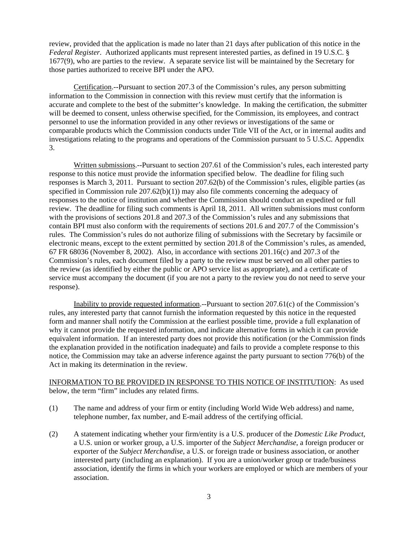review, provided that the application is made no later than 21 days after publication of this notice in the *Federal Register*. Authorized applicants must represent interested parties, as defined in 19 U.S.C. § 1677(9), who are parties to the review. A separate service list will be maintained by the Secretary for those parties authorized to receive BPI under the APO.

Certification.--Pursuant to section 207.3 of the Commission's rules, any person submitting information to the Commission in connection with this review must certify that the information is accurate and complete to the best of the submitter's knowledge. In making the certification, the submitter will be deemed to consent, unless otherwise specified, for the Commission, its employees, and contract personnel to use the information provided in any other reviews or investigations of the same or comparable products which the Commission conducts under Title VII of the Act, or in internal audits and investigations relating to the programs and operations of the Commission pursuant to 5 U.S.C. Appendix 3.

Written submissions.--Pursuant to section 207.61 of the Commission's rules, each interested party response to this notice must provide the information specified below. The deadline for filing such responses is March 3, 2011. Pursuant to section 207.62(b) of the Commission's rules, eligible parties (as specified in Commission rule 207.62(b)(1)) may also file comments concerning the adequacy of responses to the notice of institution and whether the Commission should conduct an expedited or full review. The deadline for filing such comments is April 18, 2011. All written submissions must conform with the provisions of sections 201.8 and 207.3 of the Commission's rules and any submissions that contain BPI must also conform with the requirements of sections 201.6 and 207.7 of the Commission's rules. The Commission's rules do not authorize filing of submissions with the Secretary by facsimile or electronic means, except to the extent permitted by section 201.8 of the Commission's rules, as amended, 67 FR 68036 (November 8, 2002). Also, in accordance with sections 201.16(c) and 207.3 of the Commission's rules, each document filed by a party to the review must be served on all other parties to the review (as identified by either the public or APO service list as appropriate), and a certificate of service must accompany the document (if you are not a party to the review you do not need to serve your response).

Inability to provide requested information.--Pursuant to section 207.61(c) of the Commission's rules, any interested party that cannot furnish the information requested by this notice in the requested form and manner shall notify the Commission at the earliest possible time, provide a full explanation of why it cannot provide the requested information, and indicate alternative forms in which it can provide equivalent information. If an interested party does not provide this notification (or the Commission finds the explanation provided in the notification inadequate) and fails to provide a complete response to this notice, the Commission may take an adverse inference against the party pursuant to section 776(b) of the Act in making its determination in the review.

# INFORMATION TO BE PROVIDED IN RESPONSE TO THIS NOTICE OF INSTITUTION: As used below, the term "firm" includes any related firms.

- (1) The name and address of your firm or entity (including World Wide Web address) and name, telephone number, fax number, and E-mail address of the certifying official.
- (2) A statement indicating whether your firm/entity is a U.S. producer of the *Domestic Like Product*, a U.S. union or worker group, a U.S. importer of the *Subject Merchandise*, a foreign producer or exporter of the *Subject Merchandise*, a U.S. or foreign trade or business association, or another interested party (including an explanation). If you are a union/worker group or trade/business association, identify the firms in which your workers are employed or which are members of your association.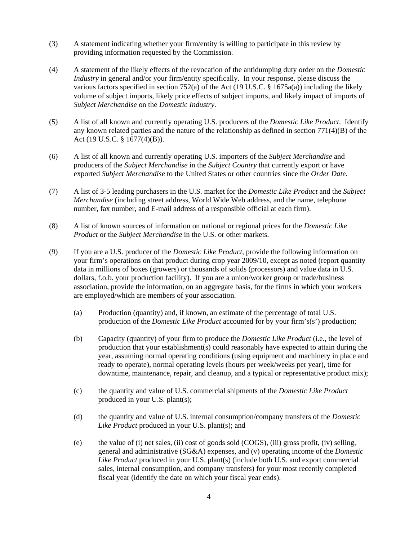- (3) A statement indicating whether your firm/entity is willing to participate in this review by providing information requested by the Commission.
- (4) A statement of the likely effects of the revocation of the antidumping duty order on the *Domestic Industry* in general and/or your firm/entity specifically. In your response, please discuss the various factors specified in section 752(a) of the Act (19 U.S.C. § 1675a(a)) including the likely volume of subject imports, likely price effects of subject imports, and likely impact of imports of *Subject Merchandise* on the *Domestic Industry*.
- (5) A list of all known and currently operating U.S. producers of the *Domestic Like Product*. Identify any known related parties and the nature of the relationship as defined in section 771(4)(B) of the Act (19 U.S.C. § 1677(4)(B)).
- (6) A list of all known and currently operating U.S. importers of the *Subject Merchandise* and producers of the *Subject Merchandise* in the *Subject Country* that currently export or have exported *Subject Merchandise* to the United States or other countries since the *Order Date*.
- (7) A list of 3-5 leading purchasers in the U.S. market for the *Domestic Like Product* and the *Subject Merchandise* (including street address, World Wide Web address, and the name, telephone number, fax number, and E-mail address of a responsible official at each firm).
- (8) A list of known sources of information on national or regional prices for the *Domestic Like Product* or the *Subject Merchandise* in the U.S. or other markets.
- (9) If you are a U.S. producer of the *Domestic Like Product*, provide the following information on your firm's operations on that product during crop year 2009/10, except as noted (report quantity data in millions of boxes (growers) or thousands of solids (processors) and value data in U.S. dollars, f.o.b. your production facility). If you are a union/worker group or trade/business association, provide the information, on an aggregate basis, for the firms in which your workers are employed/which are members of your association.
	- (a) Production (quantity) and, if known, an estimate of the percentage of total U.S. production of the *Domestic Like Product* accounted for by your firm's(s') production;
	- (b) Capacity (quantity) of your firm to produce the *Domestic Like Product* (i.e., the level of production that your establishment(s) could reasonably have expected to attain during the year, assuming normal operating conditions (using equipment and machinery in place and ready to operate), normal operating levels (hours per week/weeks per year), time for downtime, maintenance, repair, and cleanup, and a typical or representative product mix);
	- (c) the quantity and value of U.S. commercial shipments of the *Domestic Like Product* produced in your U.S. plant(s);
	- (d) the quantity and value of U.S. internal consumption/company transfers of the *Domestic Like Product* produced in your U.S. plant(s); and
	- (e) the value of (i) net sales, (ii) cost of goods sold (COGS), (iii) gross profit, (iv) selling, general and administrative (SG&A) expenses, and (v) operating income of the *Domestic Like Product* produced in your U.S. plant(s) (include both U.S. and export commercial sales, internal consumption, and company transfers) for your most recently completed fiscal year (identify the date on which your fiscal year ends).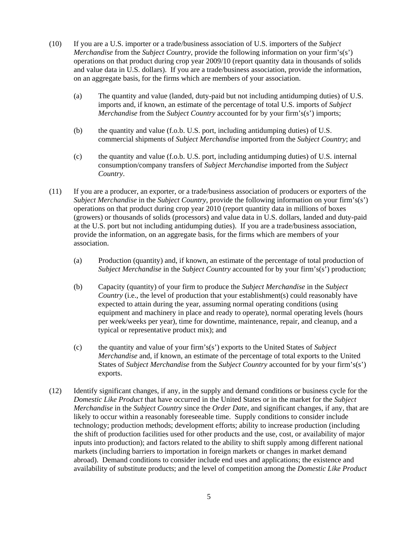- (10) If you are a U.S. importer or a trade/business association of U.S. importers of the *Subject Merchandise* from the *Subject Country*, provide the following information on your firm's(s') operations on that product during crop year 2009/10 (report quantity data in thousands of solids and value data in U.S. dollars). If you are a trade/business association, provide the information, on an aggregate basis, for the firms which are members of your association.
	- (a) The quantity and value (landed, duty-paid but not including antidumping duties) of U.S. imports and, if known, an estimate of the percentage of total U.S. imports of *Subject Merchandise* from the *Subject Country* accounted for by your firm's(s') imports;
	- (b) the quantity and value (f.o.b. U.S. port, including antidumping duties) of U.S. commercial shipments of *Subject Merchandise* imported from the *Subject Country*; and
	- (c) the quantity and value (f.o.b. U.S. port, including antidumping duties) of U.S. internal consumption/company transfers of *Subject Merchandise* imported from the *Subject Country*.
- (11) If you are a producer, an exporter, or a trade/business association of producers or exporters of the *Subject Merchandise* in the *Subject Country*, provide the following information on your firm's(s') operations on that product during crop year 2010 (report quantity data in millions of boxes (growers) or thousands of solids (processors) and value data in U.S. dollars, landed and duty-paid at the U.S. port but not including antidumping duties). If you are a trade/business association, provide the information, on an aggregate basis, for the firms which are members of your association.
	- (a) Production (quantity) and, if known, an estimate of the percentage of total production of *Subject Merchandise* in the *Subject Country* accounted for by your firm's(s') production;
	- (b) Capacity (quantity) of your firm to produce the *Subject Merchandise* in the *Subject Country* (i.e., the level of production that your establishment(s) could reasonably have expected to attain during the year, assuming normal operating conditions (using equipment and machinery in place and ready to operate), normal operating levels (hours per week/weeks per year), time for downtime, maintenance, repair, and cleanup, and a typical or representative product mix); and
	- (c) the quantity and value of your firm's(s') exports to the United States of *Subject Merchandise* and, if known, an estimate of the percentage of total exports to the United States of *Subject Merchandise* from the *Subject Country* accounted for by your firm's(s') exports.
- (12) Identify significant changes, if any, in the supply and demand conditions or business cycle for the *Domestic Like Product* that have occurred in the United States or in the market for the *Subject Merchandise* in the *Subject Country* since the *Order Date*, and significant changes, if any, that are likely to occur within a reasonably foreseeable time. Supply conditions to consider include technology; production methods; development efforts; ability to increase production (including the shift of production facilities used for other products and the use, cost, or availability of major inputs into production); and factors related to the ability to shift supply among different national markets (including barriers to importation in foreign markets or changes in market demand abroad). Demand conditions to consider include end uses and applications; the existence and availability of substitute products; and the level of competition among the *Domestic Like Product*